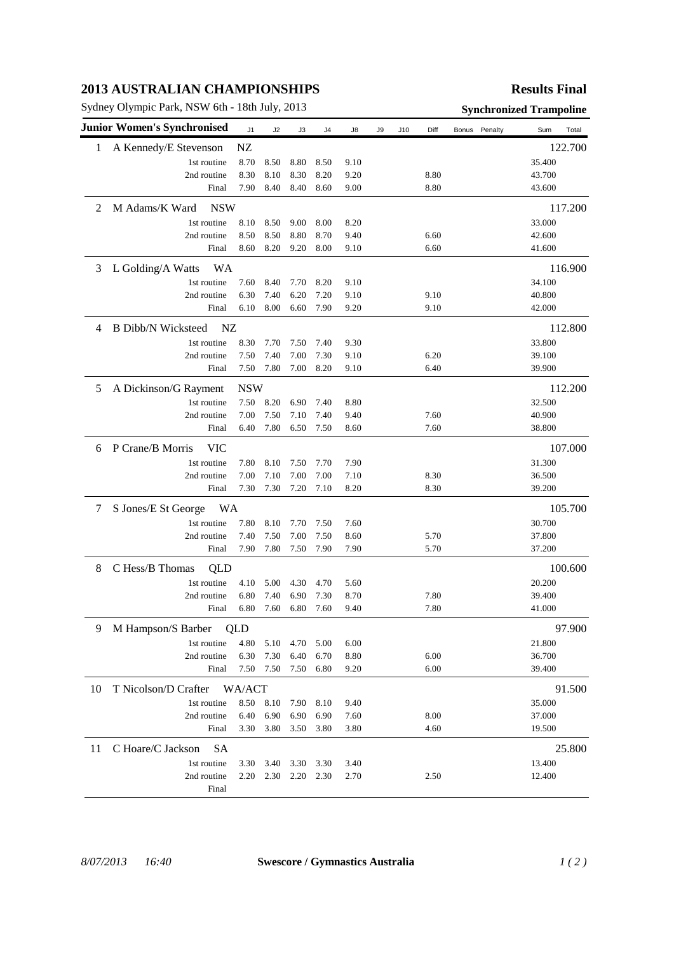## **2013 AUSTRALIAN CHAMPIONSHIPS**

Sydney Olympic Park, NSW 6th - 18th July, 2013 **Synchronized Trampoline** 

## **Results Final**

|              | <b>Junior Women's Synchronised</b> | J1         | J2   | J3   | J4   | J8   | J9 | J10 | Diff | Bonus Penalty | Sum<br>Total |
|--------------|------------------------------------|------------|------|------|------|------|----|-----|------|---------------|--------------|
| $\mathbf{1}$ | A Kennedy/E Stevenson              | ${\rm NZ}$ |      |      |      |      |    |     |      |               | 122.700      |
|              | 1st routine                        | 8.70       | 8.50 | 8.80 | 8.50 | 9.10 |    |     |      |               | 35.400       |
|              | 2nd routine                        | 8.30       | 8.10 | 8.30 | 8.20 | 9.20 |    |     | 8.80 |               | 43.700       |
|              | Final                              | 7.90       | 8.40 | 8.40 | 8.60 | 9.00 |    |     | 8.80 |               | 43.600       |
| 2            | <b>NSW</b><br>M Adams/K Ward       |            |      |      |      |      |    |     |      |               | 117.200      |
|              | 1st routine                        | 8.10       | 8.50 | 9.00 | 8.00 | 8.20 |    |     |      |               | 33.000       |
|              | 2nd routine                        | 8.50       | 8.50 | 8.80 | 8.70 | 9.40 |    |     | 6.60 |               | 42.600       |
|              | Final                              | 8.60       | 8.20 | 9.20 | 8.00 | 9.10 |    |     | 6.60 |               | 41.600       |
| 3            | L Golding/A Watts<br>WA            |            |      |      |      |      |    |     |      |               | 116.900      |
|              | 1st routine                        | 7.60       | 8.40 | 7.70 | 8.20 | 9.10 |    |     |      |               | 34.100       |
|              | 2nd routine                        | 6.30       | 7.40 | 6.20 | 7.20 | 9.10 |    |     | 9.10 |               | 40.800       |
|              | Final                              | 6.10       | 8.00 | 6.60 | 7.90 | 9.20 |    |     | 9.10 |               | 42.000       |
| 4            | <b>B</b> Dibb/N Wicksteed<br>NZ    |            |      |      |      |      |    |     |      |               | 112.800      |
|              | 1st routine                        | 8.30       | 7.70 | 7.50 | 7.40 | 9.30 |    |     |      |               | 33.800       |
|              | 2nd routine                        | 7.50       | 7.40 | 7.00 | 7.30 | 9.10 |    |     | 6.20 |               | 39.100       |
|              | Final                              | 7.50       | 7.80 | 7.00 | 8.20 | 9.10 |    |     | 6.40 |               | 39.900       |
| 5            | A Dickinson/G Rayment              | <b>NSW</b> |      |      |      |      |    |     |      |               | 112.200      |
|              | 1st routine                        | 7.50       | 8.20 | 6.90 | 7.40 | 8.80 |    |     |      |               | 32.500       |
|              | 2nd routine                        | 7.00       | 7.50 | 7.10 | 7.40 | 9.40 |    |     | 7.60 |               | 40.900       |
|              | Final                              | 6.40       | 7.80 | 6.50 | 7.50 | 8.60 |    |     | 7.60 |               | 38.800       |
| 6            | P Crane/B Morris<br><b>VIC</b>     |            |      |      |      |      |    |     |      |               | 107.000      |
|              | 1st routine                        | 7.80       | 8.10 | 7.50 | 7.70 | 7.90 |    |     |      |               | 31.300       |
|              | 2nd routine                        | 7.00       | 7.10 | 7.00 | 7.00 | 7.10 |    |     | 8.30 |               | 36.500       |
|              | Final                              | 7.30       | 7.30 | 7.20 | 7.10 | 8.20 |    |     | 8.30 |               | 39.200       |
| 7            | S Jones/E St George<br>WA          |            |      |      |      |      |    |     |      |               | 105.700      |
|              | 1st routine                        | 7.80       | 8.10 | 7.70 | 7.50 | 7.60 |    |     |      |               | 30.700       |
|              | 2nd routine                        | 7.40       | 7.50 | 7.00 | 7.50 | 8.60 |    |     | 5.70 |               | 37.800       |
|              | Final                              | 7.90       | 7.80 | 7.50 | 7.90 | 7.90 |    |     | 5.70 |               | 37.200       |
| 8            | C Hess/B Thomas<br>QLD             |            |      |      |      |      |    |     |      |               | 100.600      |
|              | 1st routine                        | 4.10       | 5.00 | 4.30 | 4.70 | 5.60 |    |     |      |               | 20.200       |
|              | 2nd routine                        | 6.80       | 7.40 | 6.90 | 7.30 | 8.70 |    |     | 7.80 |               | 39.400       |
|              | Final                              | 6.80       | 7.60 | 6.80 | 7.60 | 9.40 |    |     | 7.80 |               | 41.000       |
| 9            | M Hampson/S Barber                 | QLD        |      |      |      |      |    |     |      |               | 97.900       |
|              | 1st routine                        | 4.80       | 5.10 | 4.70 | 5.00 | 6.00 |    |     |      |               | 21.800       |
|              | 2nd routine                        | 6.30       | 7.30 | 6.40 | 6.70 | 8.80 |    |     | 6.00 |               | 36.700       |
|              | Final                              | 7.50       | 7.50 | 7.50 | 6.80 | 9.20 |    |     | 6.00 |               | 39.400       |
| 10           | T Nicolson/D Crafter               | WA/ACT     |      |      |      |      |    |     |      |               | 91.500       |
|              | 1st routine                        | 8.50       | 8.10 | 7.90 | 8.10 | 9.40 |    |     |      |               | 35.000       |
|              | 2nd routine                        | 6.40       | 6.90 | 6.90 | 6.90 | 7.60 |    |     | 8.00 |               | 37.000       |
|              | Final                              | 3.30       | 3.80 | 3.50 | 3.80 | 3.80 |    |     | 4.60 |               | 19.500       |
| 11           | C Hoare/C Jackson<br><b>SA</b>     |            |      |      |      |      |    |     |      |               | 25.800       |
|              | 1st routine                        | 3.30       | 3.40 | 3.30 | 3.30 | 3.40 |    |     |      |               | 13.400       |
|              | 2nd routine                        | 2.20       | 2.30 | 2.20 | 2.30 | 2.70 |    |     | 2.50 |               | 12.400       |
|              | Final                              |            |      |      |      |      |    |     |      |               |              |